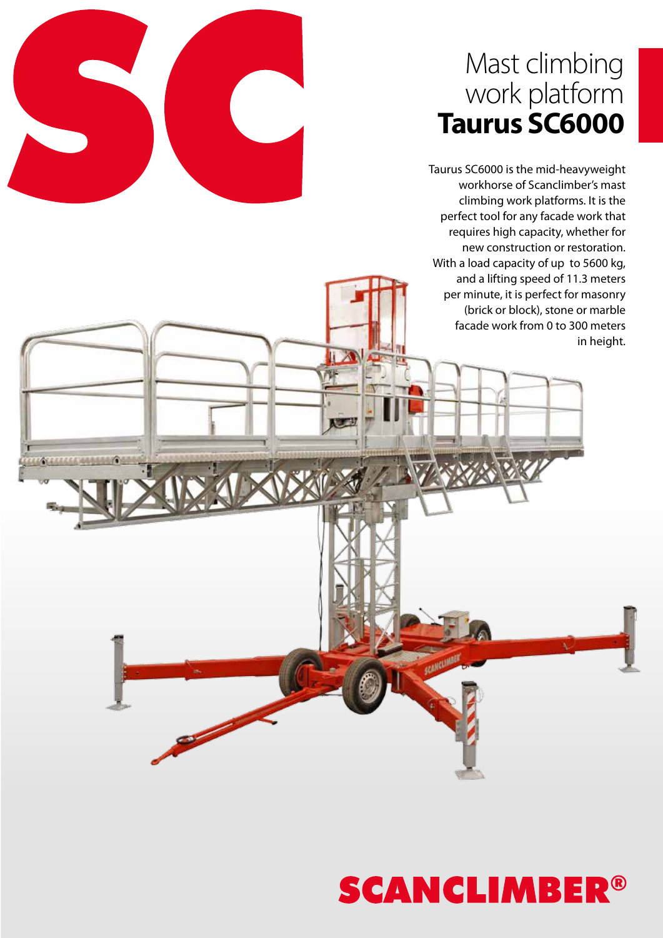### Mast climbing work platform **Taurus SC6000**

Taurus SC6000 is the mid-heavyweight workhorse of Scanclimber's mast climbing work platforms. It is the perfect tool for any facade work that requires high capacity, whether for new construction or restoration. With a load capacity of up to 5600 kg, and a lifting speed of 11.3 meters per minute, it is perfect for masonry (brick or block), stone or marble facade work from 0 to 300 meters in height.

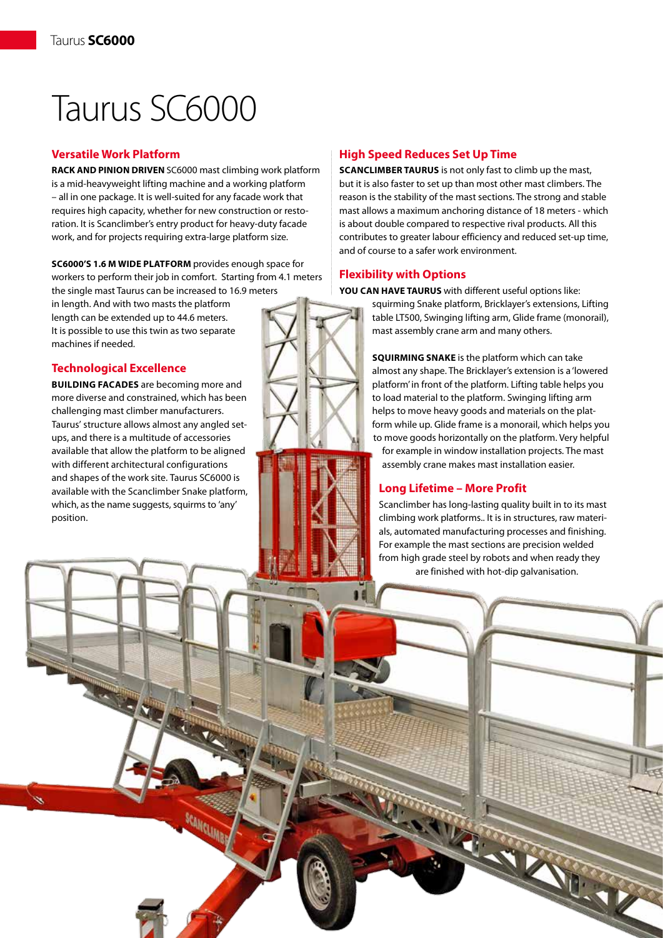# Taurus SC6000

#### **Versatile Work Platform**

**RACK AND PINION DRIVEN** SC6000 mast climbing work platform is a mid-heavyweight lifting machine and a working platform – all in one package. It is well-suited for any facade work that requires high capacity, whether for new construction or restoration. It is Scanclimber's entry product for heavy-duty facade work, and for projects requiring extra-large platform size.

**SC6000's 1.6 m wide platform** provides enough space for workers to perform their job in comfort. Starting from 4.1 meters the single mast Taurus can be increased to 16.9 meters

SCANCLINER

in length. And with two masts the platform length can be extended up to 44.6 meters. It is possible to use this twin as two separate machines if needed.

#### **Technological Excellence**

**BUILDING FACADES** are becoming more and more diverse and constrained, which has been challenging mast climber manufacturers. Taurus' structure allows almost any angled setups, and there is a multitude of accessories available that allow the platform to be aligned with different architectural configurations and shapes of the work site. Taurus SC6000 is available with the Scanclimber Snake platform, which, as the name suggests, squirms to 'any' position.

#### **High Speed Reduces Set Up Time**

**Scanclimber Taurus** is not only fast to climb up the mast, but it is also faster to set up than most other mast climbers. The reason is the stability of the mast sections. The strong and stable mast allows a maximum anchoring distance of 18 meters - which is about double compared to respective rival products. All this contributes to greater labour efficiency and reduced set-up time, and of course to a safer work environment.

#### **Flexibility with Options**

**You can have Taurus** with different useful options like:

squirming Snake platform, Bricklayer's extensions, Lifting table LT500, Swinging lifting arm, Glide frame (monorail), mast assembly crane arm and many others.

**Squirming Snake** is the platform which can take almost any shape. The Bricklayer's extension is a 'lowered platform' in front of the platform. Lifting table helps you to load material to the platform. Swinging lifting arm helps to move heavy goods and materials on the platform while up. Glide frame is a monorail, which helps you to move goods horizontally on the platform. Very helpful

for example in window installation projects. The mast assembly crane makes mast installation easier.

#### **Long Lifetime – More Profit**

Scanclimber has long-lasting quality built in to its mast climbing work platforms.. It is in structures, raw materials, automated manufacturing processes and finishing. For example the mast sections are precision welded from high grade steel by robots and when ready they are finished with hot-dip galvanisation.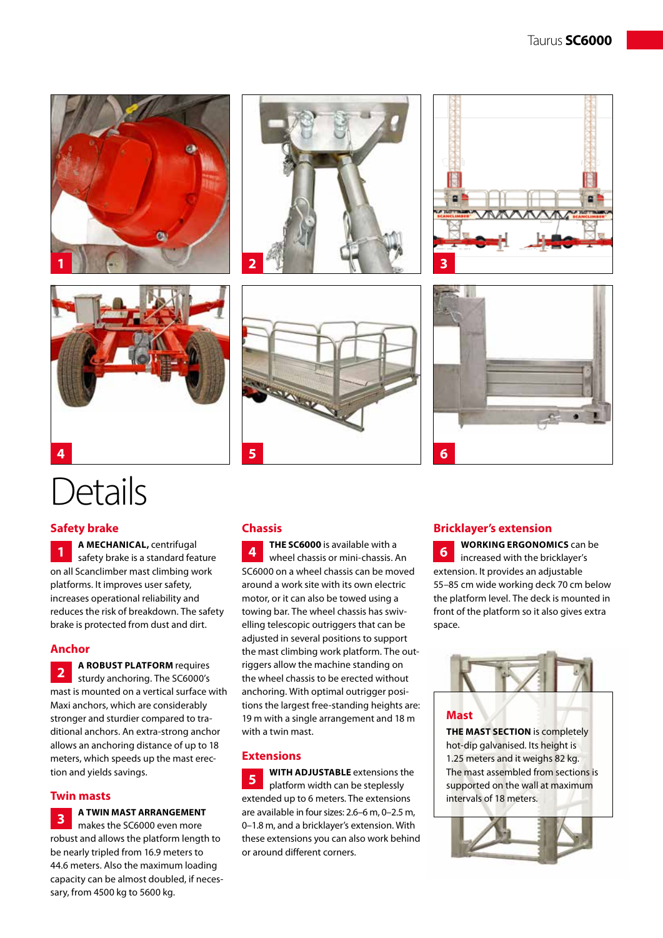



## Details

#### **Safety brake**

**A MECHANICAL,** centrifugal safety brake is a standard feature on all Scanclimber mast climbing work platforms. It improves user safety, increases operational reliability and reduces the risk of breakdown. The safety brake is protected from dust and dirt. **1**

#### **Anchor**

**A ROBUST PLATFORM** requires sturdy anchoring. The SC6000's mast is mounted on a vertical surface with Maxi anchors, which are considerably stronger and sturdier compared to traditional anchors. An extra-strong anchor allows an anchoring distance of up to 18 meters, which speeds up the mast erection and yields savings. **2**

#### **Twin masts**

**A TWIN MAST ARRANGEMENT** 

makes the SC6000 even more robust and allows the platform length to be nearly tripled from 16.9 meters to 44.6 meters. Also the maximum loading capacity can be almost doubled, if necessary, from 4500 kg to 5600 kg. **3**

#### **Chassis**

**THE sc6000** is available with a wheel chassis or mini-chassis. An SC6000 on a wheel chassis can be moved around a work site with its own electric motor, or it can also be towed using a towing bar. The wheel chassis has swivelling telescopic outriggers that can be adjusted in several positions to support the mast climbing work platform. The outriggers allow the machine standing on the wheel chassis to be erected without anchoring. With optimal outrigger positions the largest free-standing heights are: 19 m with a single arrangement and 18 m with a twin mast. **4**

#### **Extensions**

**WITH ADJUSTABLE** extensions the platform width can be steplessly extended up to 6 meters. The extensions are available in four sizes: 2.6–6 m, 0–2.5 m, 0–1.8 m, and a bricklayer's extension. With these extensions you can also work behind or around different corners. **5**





#### **Bricklayer's extension**

**Working ergonomics** can be increased with the bricklayer's extension. It provides an adjustable 55–85 cm wide working deck 70 cm below the platform level. The deck is mounted in front of the platform so it also gives extra space. **6**



#### **Mast**

**THE MAST SECTION** is completely hot-dip galvanised. Its height is 1.25 meters and it weighs 82 kg. The mast assembled from sections is supported on the wall at maximum intervals of 18 meters.